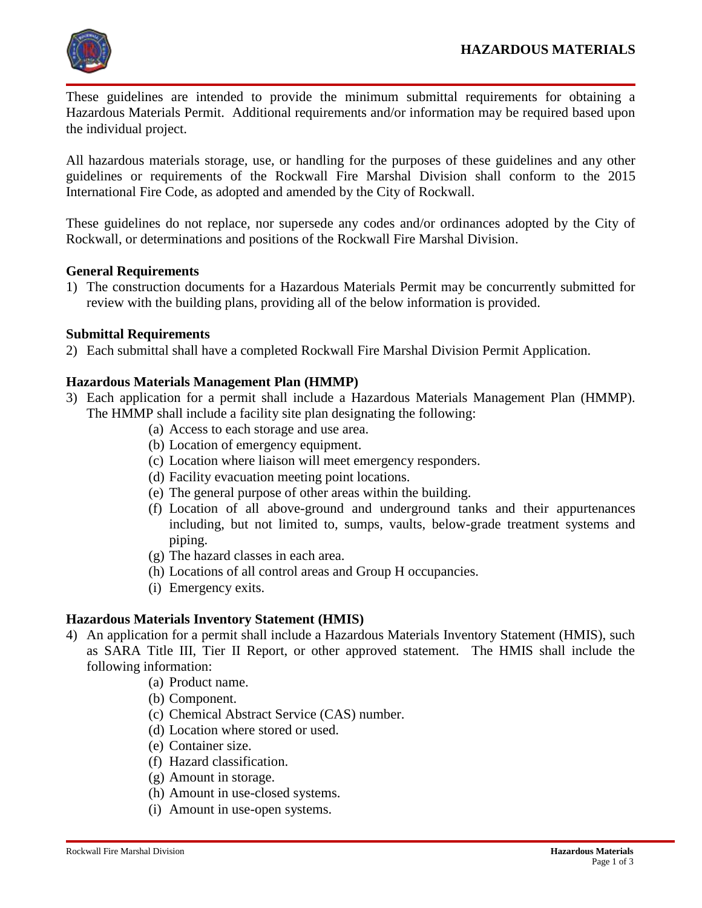

These guidelines are intended to provide the minimum submittal requirements for obtaining a Hazardous Materials Permit. Additional requirements and/or information may be required based upon the individual project.

All hazardous materials storage, use, or handling for the purposes of these guidelines and any other guidelines or requirements of the Rockwall Fire Marshal Division shall conform to the 2015 International Fire Code, as adopted and amended by the City of Rockwall.

These guidelines do not replace, nor supersede any codes and/or ordinances adopted by the City of Rockwall, or determinations and positions of the Rockwall Fire Marshal Division.

### **General Requirements**

1) The construction documents for a Hazardous Materials Permit may be concurrently submitted for review with the building plans, providing all of the below information is provided.

### **Submittal Requirements**

2) Each submittal shall have a completed Rockwall Fire Marshal Division Permit Application.

## **Hazardous Materials Management Plan (HMMP)**

- 3) Each application for a permit shall include a Hazardous Materials Management Plan (HMMP). The HMMP shall include a facility site plan designating the following:
	- (a) Access to each storage and use area.
	- (b) Location of emergency equipment.
	- (c) Location where liaison will meet emergency responders.
	- (d) Facility evacuation meeting point locations.
	- (e) The general purpose of other areas within the building.
	- (f) Location of all above-ground and underground tanks and their appurtenances including, but not limited to, sumps, vaults, below-grade treatment systems and piping.
	- (g) The hazard classes in each area.
	- (h) Locations of all control areas and Group H occupancies.
	- (i) Emergency exits.

## **Hazardous Materials Inventory Statement (HMIS)**

- 4) An application for a permit shall include a Hazardous Materials Inventory Statement (HMIS), such as SARA Title III, Tier II Report, or other approved statement. The HMIS shall include the following information:
	- (a) Product name.
	- (b) Component.
	- (c) Chemical Abstract Service (CAS) number.
	- (d) Location where stored or used.
	- (e) Container size.
	- (f) Hazard classification.
	- (g) Amount in storage.
	- (h) Amount in use-closed systems.
	- (i) Amount in use-open systems.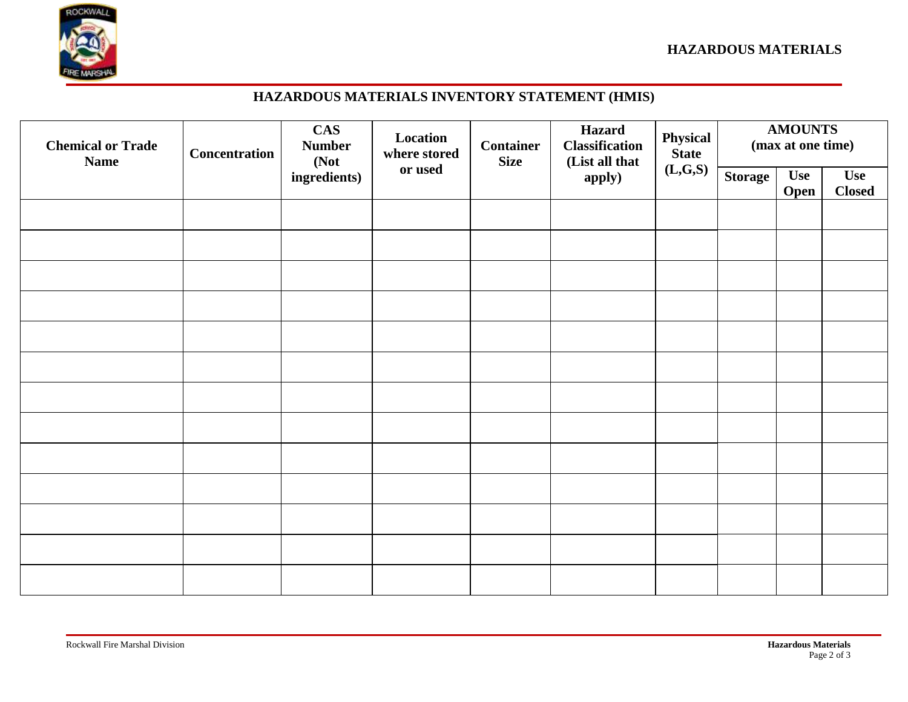

# **HAZARDOUS MATERIALS INVENTORY STATEMENT (HMIS)**

| <b>Chemical or Trade</b><br><b>Name</b> | <b>Concentration</b> | <b>CAS</b><br><b>Number</b><br>(Not<br>ingredients) | Location<br>where stored<br>or used | <b>Container</b><br><b>Size</b> | <b>Hazard</b><br><b>Classification</b><br>(List all that<br>apply) | Physical<br>State<br>(L, G, S) | <b>AMOUNTS</b><br>(max at one time) |                    |                             |
|-----------------------------------------|----------------------|-----------------------------------------------------|-------------------------------------|---------------------------------|--------------------------------------------------------------------|--------------------------------|-------------------------------------|--------------------|-----------------------------|
|                                         |                      |                                                     |                                     |                                 |                                                                    |                                | <b>Storage</b>                      | <b>Use</b><br>Open | <b>Use</b><br><b>Closed</b> |
|                                         |                      |                                                     |                                     |                                 |                                                                    |                                |                                     |                    |                             |
|                                         |                      |                                                     |                                     |                                 |                                                                    |                                |                                     |                    |                             |
|                                         |                      |                                                     |                                     |                                 |                                                                    |                                |                                     |                    |                             |
|                                         |                      |                                                     |                                     |                                 |                                                                    |                                |                                     |                    |                             |
|                                         |                      |                                                     |                                     |                                 |                                                                    |                                |                                     |                    |                             |
|                                         |                      |                                                     |                                     |                                 |                                                                    |                                |                                     |                    |                             |
|                                         |                      |                                                     |                                     |                                 |                                                                    |                                |                                     |                    |                             |
|                                         |                      |                                                     |                                     |                                 |                                                                    |                                |                                     |                    |                             |
|                                         |                      |                                                     |                                     |                                 |                                                                    |                                |                                     |                    |                             |
|                                         |                      |                                                     |                                     |                                 |                                                                    |                                |                                     |                    |                             |
|                                         |                      |                                                     |                                     |                                 |                                                                    |                                |                                     |                    |                             |
|                                         |                      |                                                     |                                     |                                 |                                                                    |                                |                                     |                    |                             |
|                                         |                      |                                                     |                                     |                                 |                                                                    |                                |                                     |                    |                             |